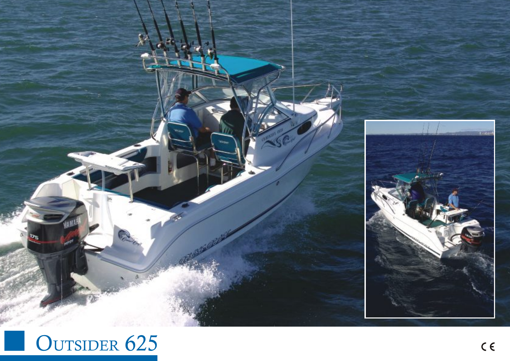

## OUTSIDER 625